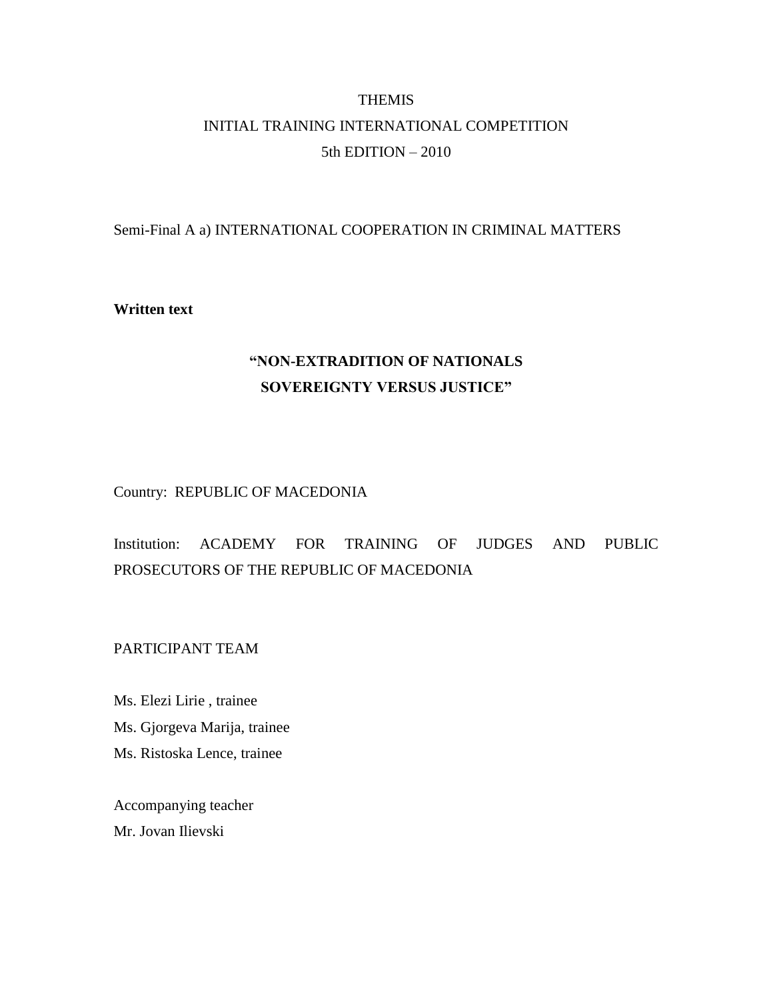# **THEMIS** INITIAL TRAINING INTERNATIONAL COMPETITION 5th EDITION – 2010

### Semi-Final A a) INTERNATIONAL COOPERATION IN CRIMINAL MATTERS

### **Written text**

# **"NON-EXTRADITION OF NATIONALS SOVEREIGNTY VERSUS JUSTICE"**

Country: REPUBLIC OF MACEDONIA

## Institution: ACADEMY FOR TRAINING OF JUDGES AND PUBLIC PROSECUTORS OF THE REPUBLIC OF MACEDONIA

PARTICIPANT TEAM

Ms. Elezi Lirie , trainee Ms. Gjorgeva Marija, trainee Ms. Ristoska Lence, trainee

Accompanying teacher Mr. Jovan Ilievski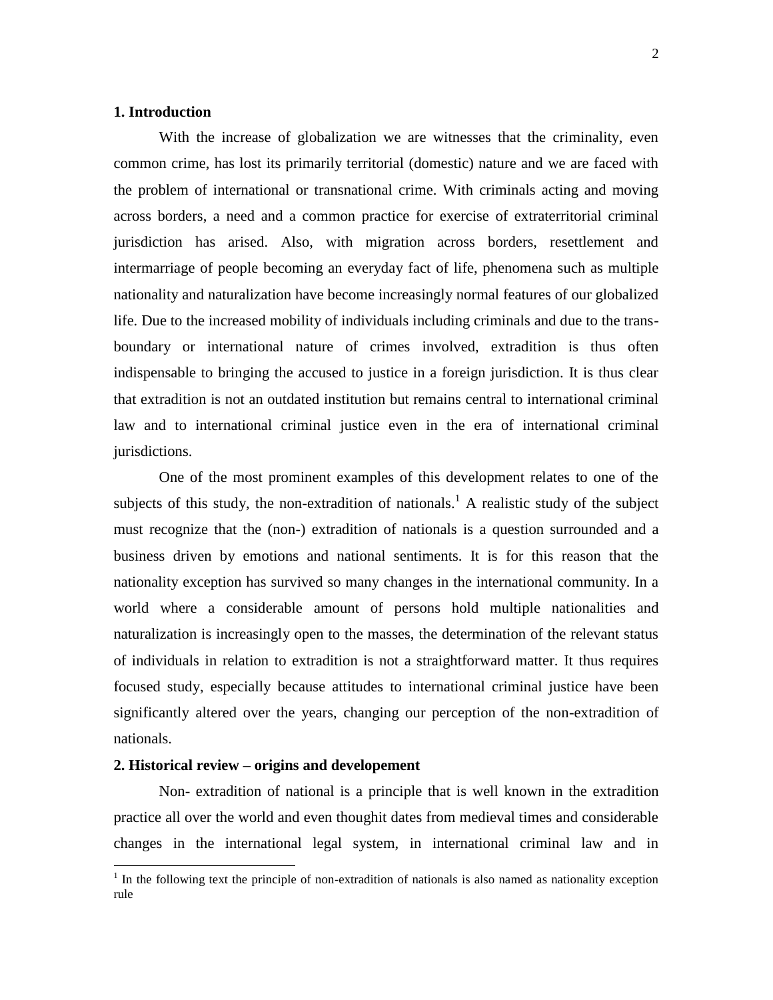### **1. Introduction**

With the increase of globalization we are witnesses that the criminality, even common crime, has lost its primarily territorial (domestic) nature and we are faced with the problem of international or transnational crime. With criminals acting and moving across borders, a need and a common practice for exercise of extraterritorial criminal jurisdiction has arised. Also, with migration across borders, resettlement and intermarriage of people becoming an everyday fact of life, phenomena such as multiple nationality and naturalization have become increasingly normal features of our globalized life. Due to the increased mobility of individuals including criminals and due to the transboundary or international nature of crimes involved, extradition is thus often indispensable to bringing the accused to justice in a foreign jurisdiction. It is thus clear that extradition is not an outdated institution but remains central to international criminal law and to international criminal justice even in the era of international criminal jurisdictions.

One of the most prominent examples of this development relates to one of the subjects of this study, the non-extradition of nationals.<sup>1</sup> A realistic study of the subject must recognize that the (non-) extradition of nationals is a question surrounded and a business driven by emotions and national sentiments. It is for this reason that the nationality exception has survived so many changes in the international community. In a world where a considerable amount of persons hold multiple nationalities and naturalization is increasingly open to the masses, the determination of the relevant status of individuals in relation to extradition is not a straightforward matter. It thus requires focused study, especially because attitudes to international criminal justice have been significantly altered over the years, changing our perception of the non-extradition of nationals.

#### **2. Historical review – origins and developement**

Non- extradition of national is a principle that is well known in the extradition practice all over the world and even thoughit dates from medieval times and considerable changes in the international legal system, in international criminal law and in

<sup>&</sup>lt;sup>1</sup> In the following text the principle of non-extradition of nationals is also named as nationality exception rule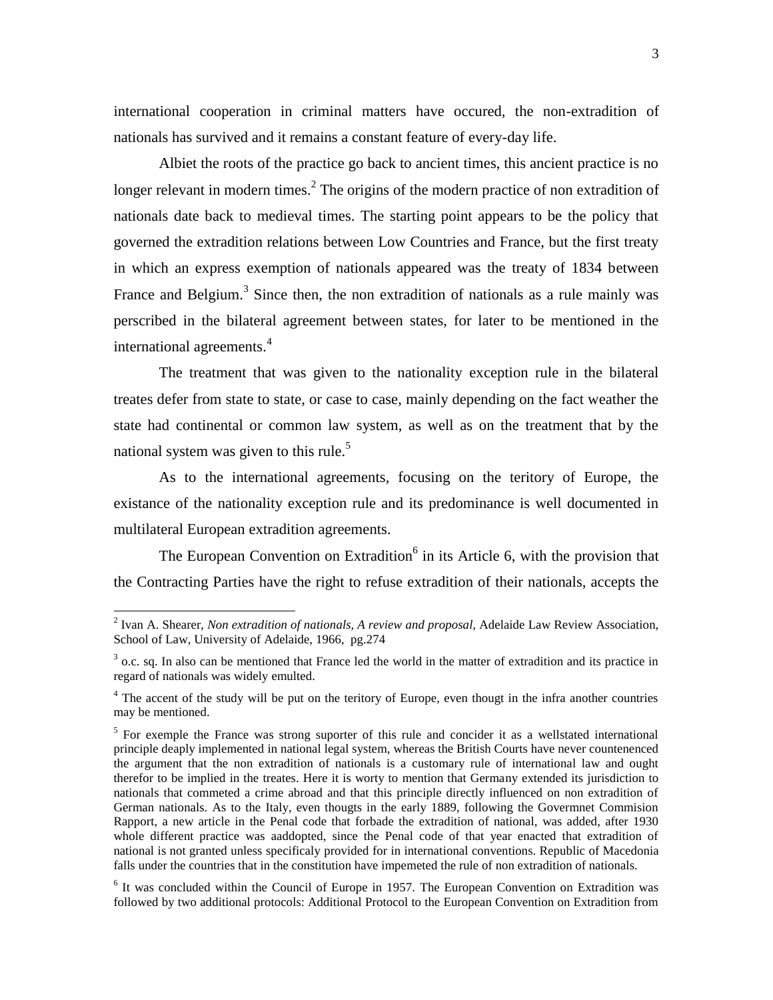international cooperation in criminal matters have occured, the non-extradition of nationals has survived and it remains a constant feature of every-day life.

Albiet the roots of the practice go back to ancient times, this ancient practice is no longer relevant in modern times.<sup>2</sup> The origins of the modern practice of non extradition of nationals date back to medieval times. The starting point appears to be the policy that governed the extradition relations between Low Countries and France, but the first treaty in which an express exemption of nationals appeared was the treaty of 1834 between France and Belgium.<sup>3</sup> Since then, the non extradition of nationals as a rule mainly was perscribed in the bilateral agreement between states, for later to be mentioned in the international agreements.<sup>4</sup>

The treatment that was given to the nationality exception rule in the bilateral treates defer from state to state, or case to case, mainly depending on the fact weather the state had continental or common law system, as well as on the treatment that by the national system was given to this rule.<sup>5</sup>

As to the international agreements, focusing on the teritory of Europe, the existance of the nationality exception rule and its predominance is well documented in multilateral European extradition agreements.

The European Convention on Extradition<sup>6</sup> in its Article 6, with the provision that the Contracting Parties have the right to refuse extradition of their nationals, accepts the

 2 Ivan A. Shearer, *Non extradition of nationals, A review and proposal,* Adelaide Law Review Association, School of Law, University of Adelaide, 1966, pg.274

 $3$  o.c. sq. In also can be mentioned that France led the world in the matter of extradition and its practice in regard of nationals was widely emulted.

<sup>&</sup>lt;sup>4</sup> The accent of the study will be put on the teritory of Europe, even thougt in the infra another countries may be mentioned.

<sup>&</sup>lt;sup>5</sup> For exemple the France was strong suporter of this rule and concider it as a wellstated international principle deaply implemented in national legal system, whereas the British Courts have never countenenced the argument that the non extradition of nationals is a customary rule of international law and ought therefor to be implied in the treates. Here it is worty to mention that Germany extended its jurisdiction to nationals that commeted a crime abroad and that this principle directly influenced on non extradition of German nationals. As to the Italy, even thougts in the early 1889, following the Govermnet Commision Rapport, a new article in the Penal code that forbade the extradition of national, was added, after 1930 whole different practice was aaddopted, since the Penal code of that year enacted that extradition of national is not granted unless specificaly provided for in international conventions. Republic of Macedonia falls under the countries that in the constitution have impemeted the rule of non extradition of nationals.

<sup>&</sup>lt;sup>6</sup> It was concluded within the Council of Europe in 1957. The European Convention on Extradition was followed by two additional protocols: Additional Protocol to the European Convention on Extradition from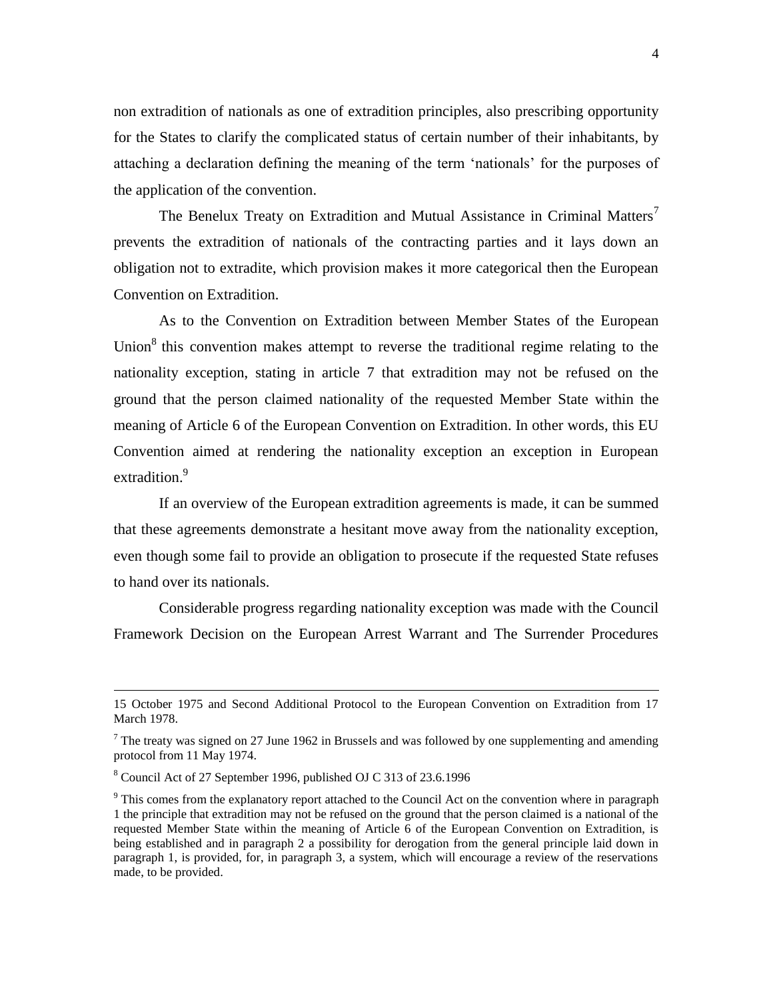non extradition of nationals as one of extradition principles, also prescribing opportunity for the States to clarify the complicated status of certain number of their inhabitants, by attaching a declaration defining the meaning of the term "nationals" for the purposes of the application of the convention.

The Benelux Treaty on Extradition and Mutual Assistance in Criminal Matters<sup>7</sup> prevents the extradition of nationals of the contracting parties and it lays down an obligation not to extradite, which provision makes it more categorical then the European Convention on Extradition.

As to the Convention on Extradition between Member States of the European Union $8$  this convention makes attempt to reverse the traditional regime relating to the nationality exception, stating in article 7 that extradition may not be refused on the ground that the person claimed nationality of the requested Member State within the meaning of Article 6 of the European Convention on Extradition. In other words, this EU Convention aimed at rendering the nationality exception an exception in European extradition.<sup>9</sup>

If an overview of the European extradition agreements is made, it can be summed that these agreements demonstrate a hesitant move away from the nationality exception, even though some fail to provide an obligation to prosecute if the requested State refuses to hand over its nationals.

Considerable progress regarding nationality exception was made with the Council Framework Decision on the European Arrest Warrant and The Surrender Procedures

<sup>15</sup> October 1975 and Second Additional Protocol to the European Convention on Extradition from 17 March 1978.

<sup>&</sup>lt;sup>7</sup> The treaty was signed on 27 June 1962 in Brussels and was followed by one supplementing and amending protocol from 11 May 1974.

<sup>8</sup> Council Act of 27 September 1996, published OJ C 313 of 23.6.1996

<sup>&</sup>lt;sup>9</sup> This comes from the explanatory report attached to the Council Act on the convention where in paragraph 1 the principle that extradition may not be refused on the ground that the person claimed is a national of the requested Member State within the meaning of Article 6 of the European Convention on Extradition, is being established and in paragraph 2 a possibility for derogation from the general principle laid down in paragraph 1, is provided, for, in paragraph 3, a system, which will encourage a review of the reservations made, to be provided.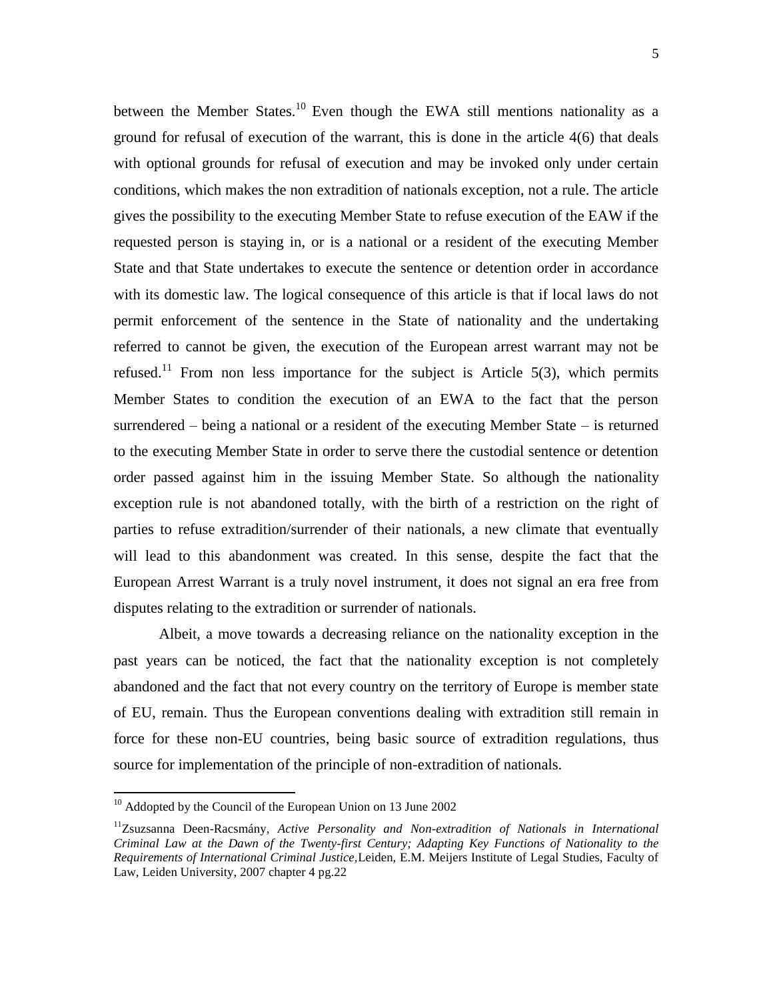between the Member States.<sup>10</sup> Even though the EWA still mentions nationality as a ground for refusal of execution of the warrant, this is done in the article 4(6) that deals with optional grounds for refusal of execution and may be invoked only under certain conditions, which makes the non extradition of nationals exception, not a rule. The article gives the possibility to the executing Member State to refuse execution of the EAW if the requested person is staying in, or is a national or a resident of the executing Member State and that State undertakes to execute the sentence or detention order in accordance with its domestic law. The logical consequence of this article is that if local laws do not permit enforcement of the sentence in the State of nationality and the undertaking referred to cannot be given, the execution of the European arrest warrant may not be refused.<sup>11</sup> From non less importance for the subject is Article 5(3), which permits Member States to condition the execution of an EWA to the fact that the person surrendered – being a national or a resident of the executing Member State – is returned to the executing Member State in order to serve there the custodial sentence or detention order passed against him in the issuing Member State. So although the nationality exception rule is not abandoned totally, with the birth of a restriction on the right of parties to refuse extradition/surrender of their nationals, a new climate that eventually will lead to this abandonment was created. In this sense, despite the fact that the European Arrest Warrant is a truly novel instrument, it does not signal an era free from disputes relating to the extradition or surrender of nationals.

Albeit, a move towards a decreasing reliance on the nationality exception in the past years can be noticed, the fact that the nationality exception is not completely abandoned and the fact that not every country on the territory of Europe is member state of EU, remain. Thus the European conventions dealing with extradition still remain in force for these non-EU countries, being basic source of extradition regulations, thus source for implementation of the principle of non-extradition of nationals.

<sup>&</sup>lt;sup>10</sup> Addopted by the Council of the European Union on 13 June 2002

<sup>11</sup>Zsuzsanna Deen-Racsmány, *Active Personality and Non-extradition of Nationals in International Criminal Law at the Dawn of the Twenty-first Century; Adapting Key Functions of Nationality to the Requirements of International Criminal Justice,*Leiden, E.M. Meijers Institute of Legal Studies, Faculty of Law, Leiden University, 2007 chapter 4 pg.22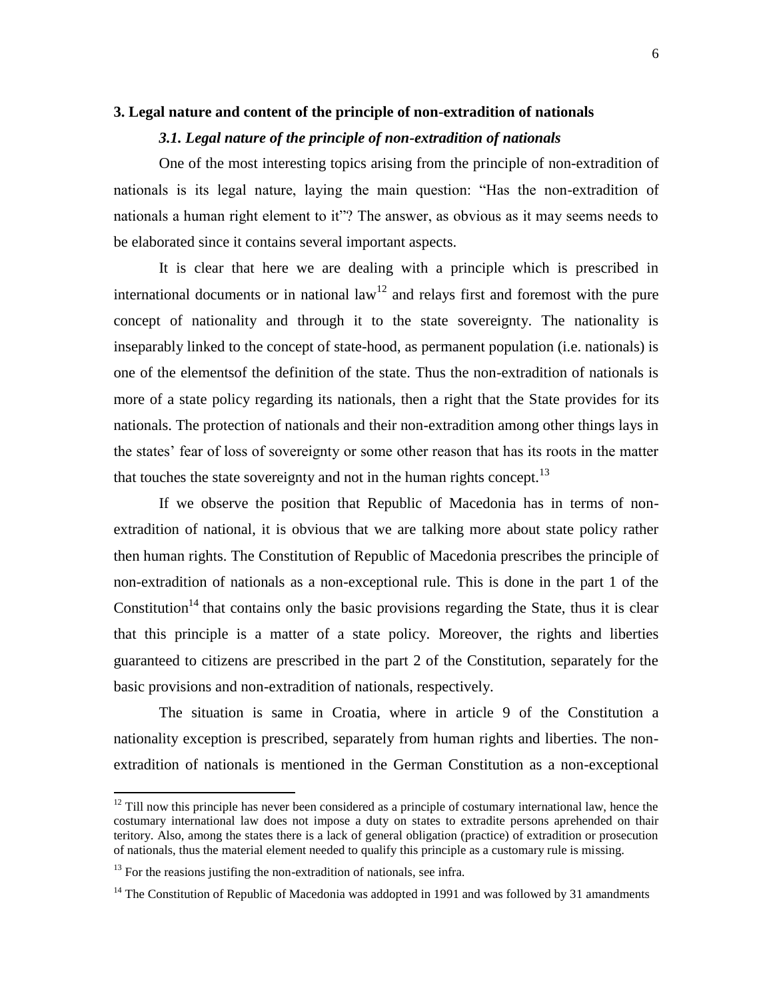#### **3. Legal nature and content of the principle of non-extradition of nationals**

#### *3.1. Legal nature of the principle of non-extradition of nationals*

One of the most interesting topics arising from the principle of non-extradition of nationals is its legal nature, laying the main question: "Has the non-extradition of nationals a human right element to it"? The answer, as obvious as it may seems needs to be elaborated since it contains several important aspects.

It is clear that here we are dealing with a principle which is prescribed in international documents or in national law<sup>12</sup> and relays first and foremost with the pure concept of nationality and through it to the state sovereignty. The nationality is inseparably linked to the concept of state-hood, as permanent population (i.e. nationals) is one of the elementsof the definition of the state. Thus the non-extradition of nationals is more of a state policy regarding its nationals, then a right that the State provides for its nationals. The protection of nationals and their non-extradition among other things lays in the states" fear of loss of sovereignty or some other reason that has its roots in the matter that touches the state sovereignty and not in the human rights concept.<sup>13</sup>

If we observe the position that Republic of Macedonia has in terms of nonextradition of national, it is obvious that we are talking more about state policy rather then human rights. The Constitution of Republic of Macedonia prescribes the principle of non-extradition of nationals as a non-exceptional rule. This is done in the part 1 of the Constitution<sup>14</sup> that contains only the basic provisions regarding the State, thus it is clear that this principle is a matter of a state policy. Moreover, the rights and liberties guaranteed to citizens are prescribed in the part 2 of the Constitution, separately for the basic provisions and non-extradition of nationals, respectively.

The situation is same in Croatia, where in article 9 of the Constitution a nationality exception is prescribed, separately from human rights and liberties. The nonextradition of nationals is mentioned in the German Constitution as a non-exceptional

 $12$  Till now this principle has never been considered as a principle of costumary international law, hence the costumary international law does not impose a duty on states to extradite persons aprehended on thair teritory. Also, among the states there is a lack of general obligation (practice) of extradition or prosecution of nationals, thus the material element needed to qualify this principle as a customary rule is missing.

 $13$  For the reasions justifing the non-extradition of nationals, see infra.

<sup>&</sup>lt;sup>14</sup> The Constitution of Republic of Macedonia was addopted in 1991 and was followed by 31 amandments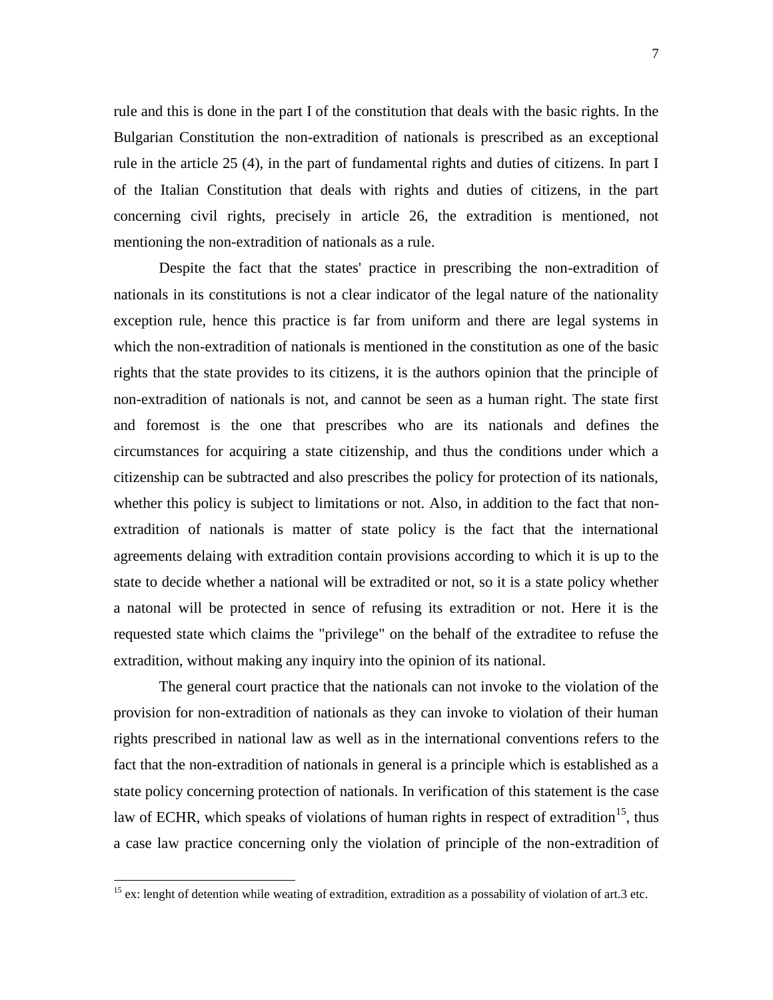rule and this is done in the part I of the constitution that deals with the basic rights. In the Bulgarian Constitution the non-extradition of nationals is prescribed as an exceptional rule in the article 25 (4), in the part of fundamental rights and duties of citizens. In part I of the Italian Constitution that deals with rights and duties of citizens, in the part concerning civil rights, precisely in article 26, the extradition is mentioned, not mentioning the non-extradition of nationals as a rule.

Despite the fact that the states' practice in prescribing the non-extradition of nationals in its constitutions is not a clear indicator of the legal nature of the nationality exception rule, hence this practice is far from uniform and there are legal systems in which the non-extradition of nationals is mentioned in the constitution as one of the basic rights that the state provides to its citizens, it is the authors opinion that the principle of non-extradition of nationals is not, and cannot be seen as a human right. The state first and foremost is the one that prescribes who are its nationals and defines the circumstances for acquiring a state citizenship, and thus the conditions under which a citizenship can be subtracted and also prescribes the policy for protection of its nationals, whether this policy is subject to limitations or not. Also, in addition to the fact that nonextradition of nationals is matter of state policy is the fact that the international agreements delaing with extradition contain provisions according to which it is up to the state to decide whether a national will be extradited or not, so it is a state policy whether a natonal will be protected in sence of refusing its extradition or not. Here it is the requested state which claims the "privilege" on the behalf of the extraditee to refuse the extradition, without making any inquiry into the opinion of its national.

The general court practice that the nationals can not invoke to the violation of the provision for non-extradition of nationals as they can invoke to violation of their human rights prescribed in national law as well as in the international conventions refers to the fact that the non-extradition of nationals in general is a principle which is established as a state policy concerning protection of nationals. In verification of this statement is the case law of ECHR, which speaks of violations of human rights in respect of extradition<sup>15</sup>, thus a case law practice concerning only the violation of principle of the non-extradition of

<sup>&</sup>lt;sup>15</sup> ex: lenght of detention while weating of extradition, extradition as a possability of violation of art.3 etc.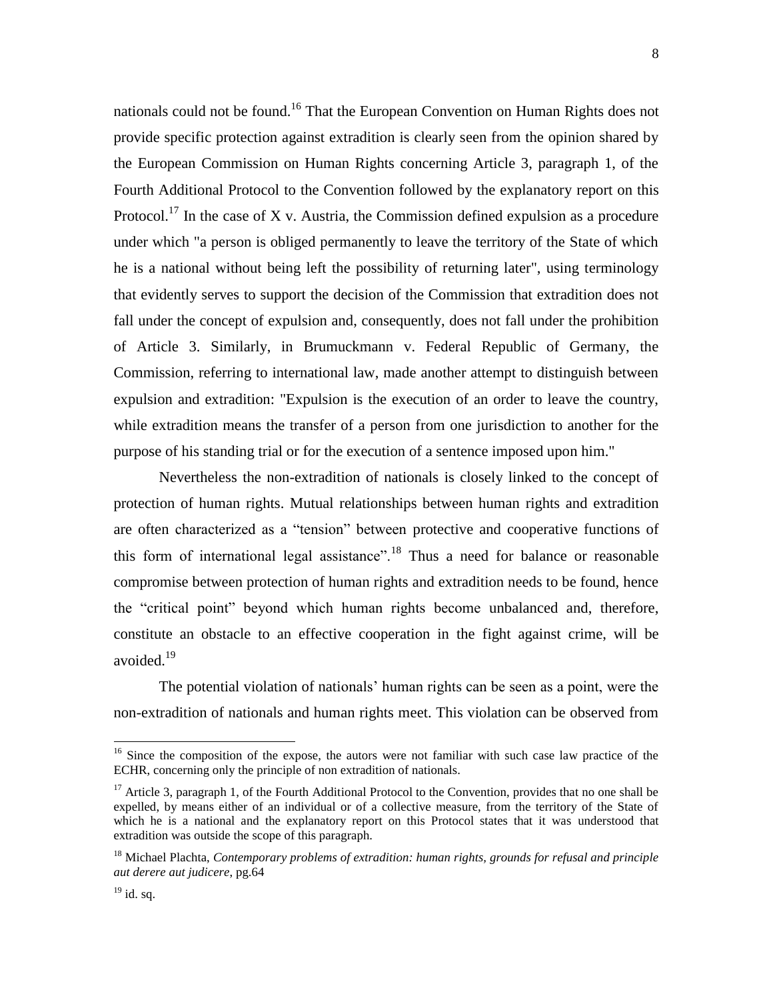nationals could not be found.<sup>16</sup> That the European Convention on Human Rights does not provide specific protection against extradition is clearly seen from the opinion shared by the European Commission on Human Rights concerning Article 3, paragraph 1, of the Fourth Additional Protocol to the Convention followed by the explanatory report on this Protocol.<sup>17</sup> In the case of X v. Austria, the Commission defined expulsion as a procedure under which "a person is obliged permanently to leave the territory of the State of which he is a national without being left the possibility of returning later", using terminology that evidently serves to support the decision of the Commission that extradition does not fall under the concept of expulsion and, consequently, does not fall under the prohibition of Article 3. Similarly, in Brumuckmann v. Federal Republic of Germany, the Commission, referring to international law, made another attempt to distinguish between expulsion and extradition: "Expulsion is the execution of an order to leave the country, while extradition means the transfer of a person from one jurisdiction to another for the purpose of his standing trial or for the execution of a sentence imposed upon him."

Nevertheless the non-extradition of nationals is closely linked to the concept of protection of human rights. Mutual relationships between human rights and extradition are often characterized as a "tension" between protective and cooperative functions of this form of international legal assistance".<sup>18</sup> Thus a need for balance or reasonable compromise between protection of human rights and extradition needs to be found, hence the "critical point" beyond which human rights become unbalanced and, therefore, constitute an obstacle to an effective cooperation in the fight against crime, will be avoided. 19

The potential violation of nationals" human rights can be seen as a point, were the non-extradition of nationals and human rights meet. This violation can be observed from

8

<sup>&</sup>lt;sup>16</sup> Since the composition of the expose, the autors were not familiar with such case law practice of the ECHR, concerning only the principle of non extradition of nationals.

<sup>&</sup>lt;sup>17</sup> Article 3, paragraph 1, of the Fourth Additional Protocol to the Convention, provides that no one shall be expelled, by means either of an individual or of a collective measure, from the territory of the State of which he is a national and the explanatory report on this Protocol states that it was understood that extradition was outside the scope of this paragraph.

<sup>18</sup> Michael Plachta, *Contemporary problems of extradition: human rights, grounds for refusal and principle aut derere aut judicere*, pg.64

 $^{19}$  id. sq.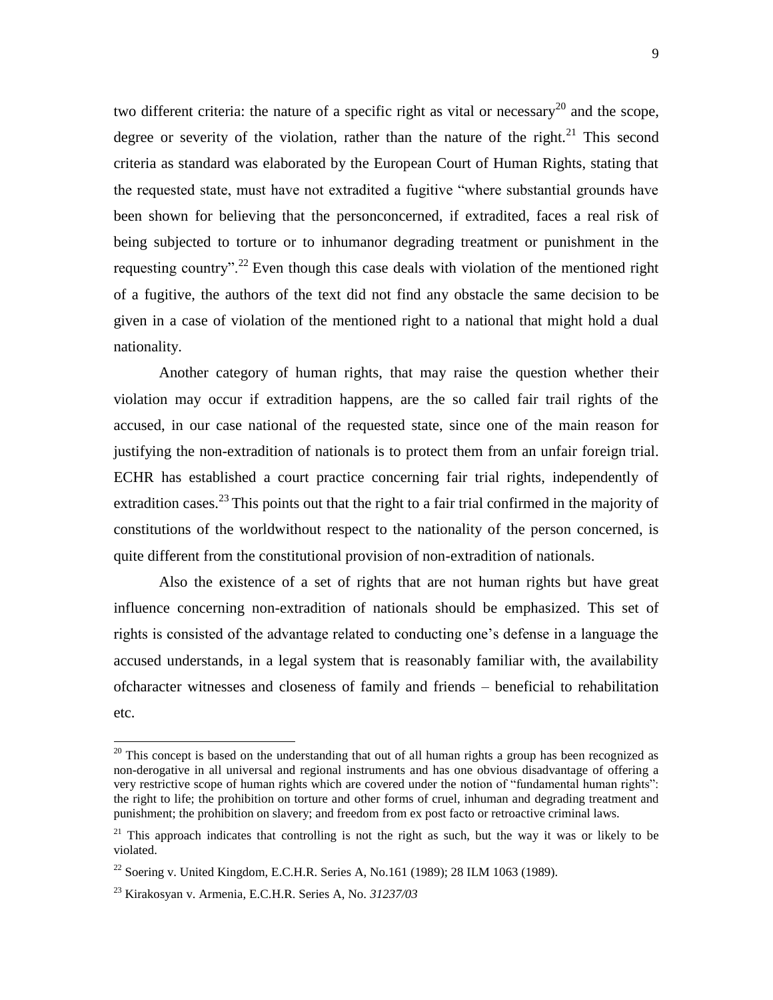two different criteria: the nature of a specific right as vital or necessary<sup>20</sup> and the scope, degree or severity of the violation, rather than the nature of the right.<sup>21</sup> This second criteria as standard was elaborated by the European Court of Human Rights, stating that the requested state, must have not extradited a fugitive "where substantial grounds have been shown for believing that the personconcerned, if extradited, faces a real risk of being subjected to torture or to inhumanor degrading treatment or punishment in the requesting country".<sup>22</sup> Even though this case deals with violation of the mentioned right of a fugitive, the authors of the text did not find any obstacle the same decision to be given in a case of violation of the mentioned right to a national that might hold a dual nationality.

Another category of human rights, that may raise the question whether their violation may occur if extradition happens, are the so called fair trail rights of the accused, in our case national of the requested state, since one of the main reason for justifying the non-extradition of nationals is to protect them from an unfair foreign trial. ECHR has established a court practice concerning fair trial rights, independently of extradition cases.<sup>23</sup> This points out that the right to a fair trial confirmed in the majority of constitutions of the worldwithout respect to the nationality of the person concerned, is quite different from the constitutional provision of non-extradition of nationals.

Also the existence of a set of rights that are not human rights but have great influence concerning non-extradition of nationals should be emphasized. This set of rights is consisted of the advantage related to conducting one"s defense in a language the accused understands, in a legal system that is reasonably familiar with, the availability ofcharacter witnesses and closeness of family and friends – beneficial to rehabilitation etc.

 $20$  This concept is based on the understanding that out of all human rights a group has been recognized as non-derogative in all universal and regional instruments and has one obvious disadvantage of offering a very restrictive scope of human rights which are covered under the notion of "fundamental human rights": the right to life; the prohibition on torture and other forms of cruel, inhuman and degrading treatment and punishment; the prohibition on slavery; and freedom from ex post facto or retroactive criminal laws.

 $21$  This approach indicates that controlling is not the right as such, but the way it was or likely to be violated.

<sup>&</sup>lt;sup>22</sup> Soering v. United Kingdom, E.C.H.R. Series A, No.161 (1989); 28 ILM 1063 (1989).

<sup>23</sup> Kirakosyan v. Armenia, E.C.H.R. Series A, No. *31237/03*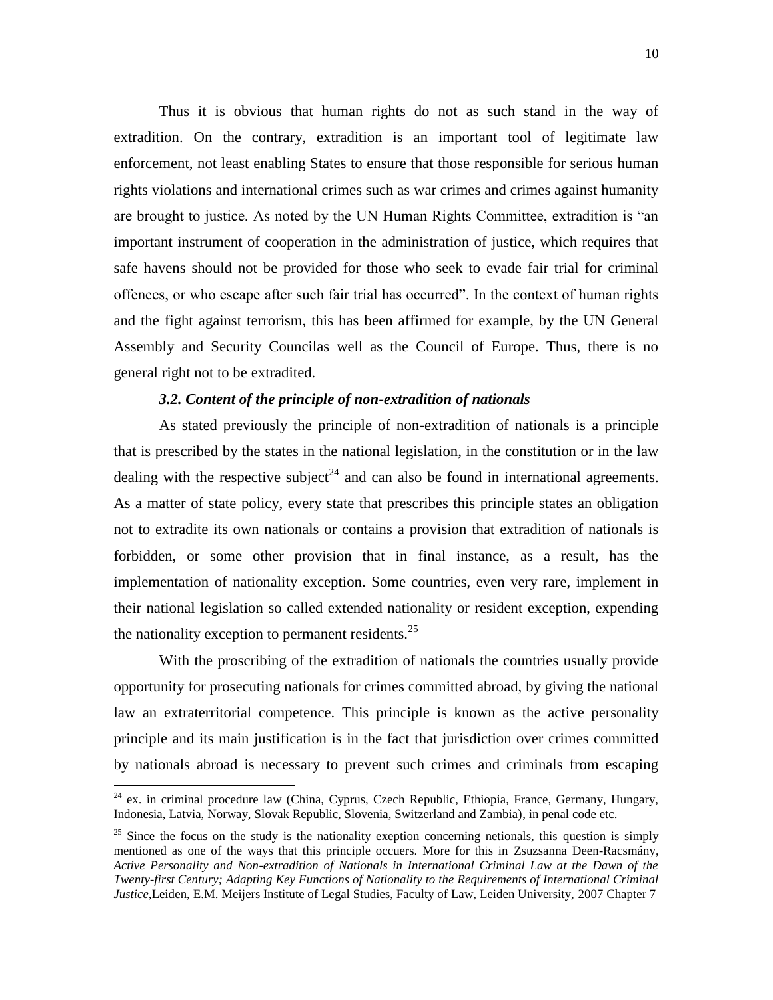Thus it is obvious that human rights do not as such stand in the way of extradition. On the contrary, extradition is an important tool of legitimate law enforcement, not least enabling States to ensure that those responsible for serious human rights violations and international crimes such as war crimes and crimes against humanity are brought to justice. As noted by the UN Human Rights Committee, extradition is "an important instrument of cooperation in the administration of justice, which requires that safe havens should not be provided for those who seek to evade fair trial for criminal offences, or who escape after such fair trial has occurred". In the context of human rights and the fight against terrorism, this has been affirmed for example, by the UN General Assembly and Security Councilas well as the Council of Europe. Thus, there is no general right not to be extradited.

#### *3.2. Content of the principle of non-extradition of nationals*

As stated previously the principle of non-extradition of nationals is a principle that is prescribed by the states in the national legislation, in the constitution or in the law dealing with the respective subject<sup>24</sup> and can also be found in international agreements. As a matter of state policy, every state that prescribes this principle states an obligation not to extradite its own nationals or contains a provision that extradition of nationals is forbidden, or some other provision that in final instance, as a result, has the implementation of nationality exception. Some countries, even very rare, implement in their national legislation so called extended nationality or resident exception, expending the nationality exception to permanent residents. $25$ 

With the proscribing of the extradition of nationals the countries usually provide opportunity for prosecuting nationals for crimes committed abroad, by giving the national law an extraterritorial competence. This principle is known as the active personality principle and its main justification is in the fact that jurisdiction over crimes committed by nationals abroad is necessary to prevent such crimes and criminals from escaping

 $^{24}$  ex. in criminal procedure law (China, Cyprus, Czech Republic, Ethiopia, France, Germany, Hungary, Indonesia, Latvia, Norway, Slovak Republic, Slovenia, Switzerland and Zambia), in penal code etc.

<sup>&</sup>lt;sup>25</sup> Since the focus on the study is the nationality exeption concerning netionals, this question is simply mentioned as one of the ways that this principle occuers. More for this in Zsuzsanna Deen-Racsmány, *Active Personality and Non-extradition of Nationals in International Criminal Law at the Dawn of the Twenty-first Century; Adapting Key Functions of Nationality to the Requirements of International Criminal Justice,*Leiden, E.M. Meijers Institute of Legal Studies, Faculty of Law, Leiden University, 2007 Chapter 7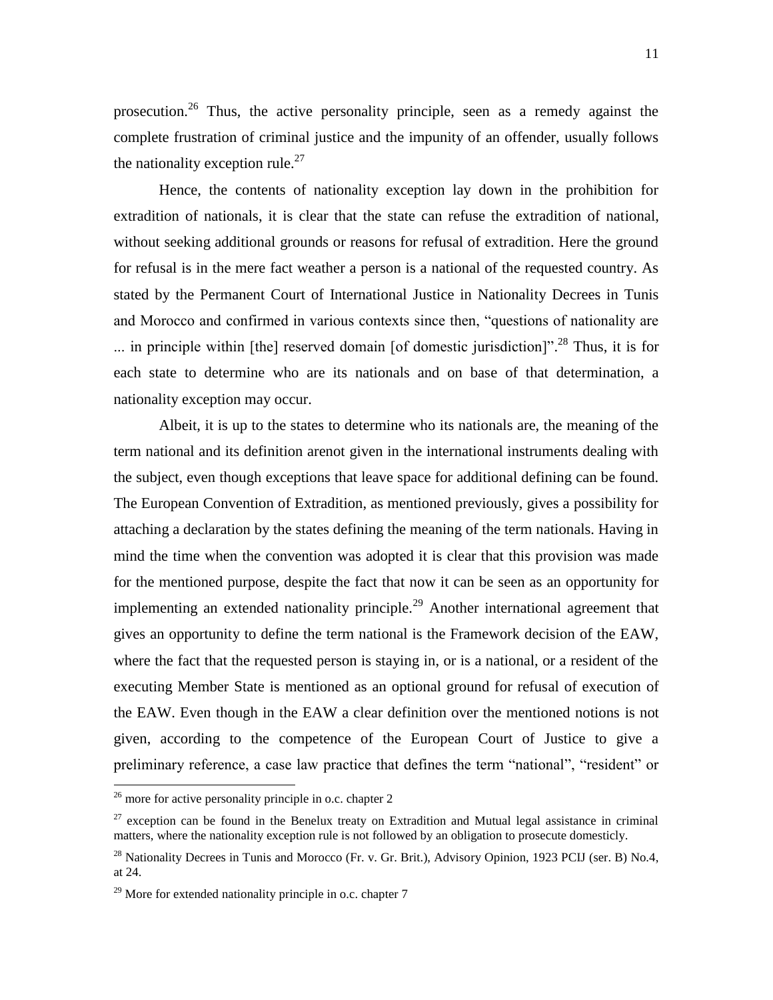prosecution.<sup>26</sup> Thus, the active personality principle, seen as a remedy against the complete frustration of criminal justice and the impunity of an offender, usually follows the nationality exception rule.<sup>27</sup>

Hence, the contents of nationality exception lay down in the prohibition for extradition of nationals, it is clear that the state can refuse the extradition of national, without seeking additional grounds or reasons for refusal of extradition. Here the ground for refusal is in the mere fact weather a person is a national of the requested country. As stated by the Permanent Court of International Justice in Nationality Decrees in Tunis and Morocco and confirmed in various contexts since then, "questions of nationality are ... in principle within [the] reserved domain [of domestic jurisdiction]"<sup>28</sup> Thus, it is for each state to determine who are its nationals and on base of that determination, a nationality exception may occur.

Albeit, it is up to the states to determine who its nationals are, the meaning of the term national and its definition arenot given in the international instruments dealing with the subject, even though exceptions that leave space for additional defining can be found. The European Convention of Extradition, as mentioned previously, gives a possibility for attaching a declaration by the states defining the meaning of the term nationals. Having in mind the time when the convention was adopted it is clear that this provision was made for the mentioned purpose, despite the fact that now it can be seen as an opportunity for implementing an extended nationality principle.<sup>29</sup> Another international agreement that gives an opportunity to define the term national is the Framework decision of the EAW, where the fact that the requested person is staying in, or is a national, or a resident of the executing Member State is mentioned as an optional ground for refusal of execution of the EAW. Even though in the EAW a clear definition over the mentioned notions is not given, according to the competence of the European Court of Justice to give a preliminary reference, a case law practice that defines the term "national", "resident" or

 $26$  more for active personality principle in o.c. chapter 2

 $27$  exception can be found in the Benelux treaty on Extradition and Mutual legal assistance in criminal matters, where the nationality exception rule is not followed by an obligation to prosecute domesticly.

<sup>&</sup>lt;sup>28</sup> Nationality Decrees in Tunis and Morocco (Fr. v. Gr. Brit.), Advisory Opinion, 1923 PCIJ (ser. B) No.4, at 24.

 $29$  More for extended nationality principle in o.c. chapter 7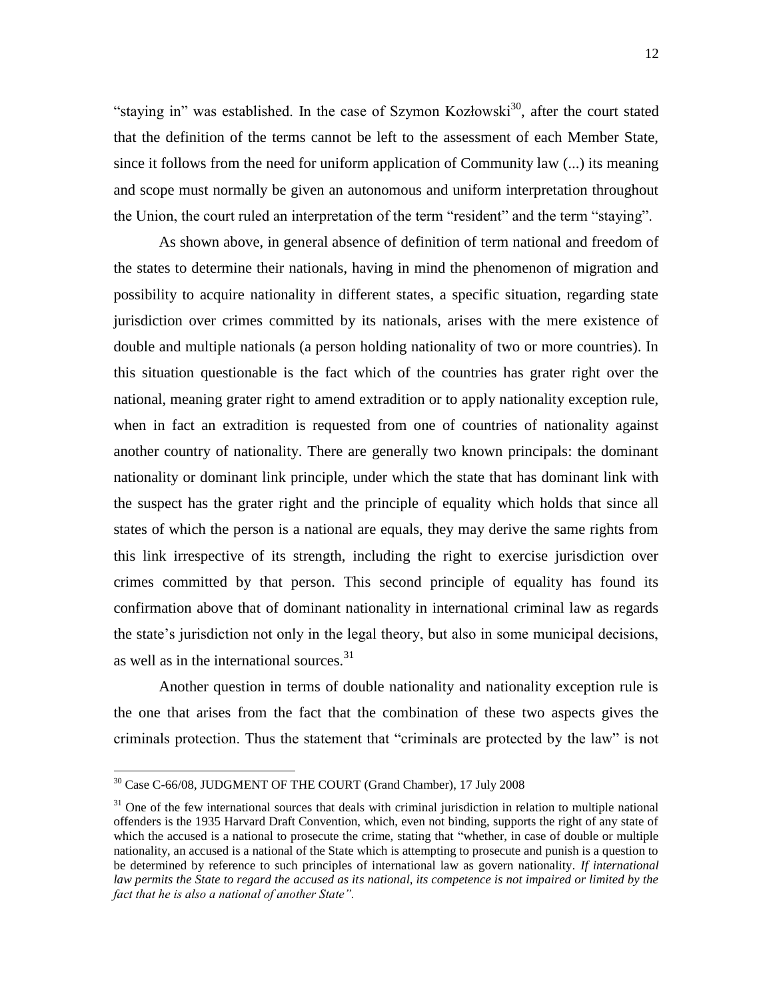"staying in" was established. In the case of Szymon Kozłowski<sup>30</sup>, after the court stated that the definition of the terms cannot be left to the assessment of each Member State, since it follows from the need for uniform application of Community law (...) its meaning and scope must normally be given an autonomous and uniform interpretation throughout the Union, the court ruled an interpretation of the term "resident" and the term "staying".

As shown above, in general absence of definition of term national and freedom of the states to determine their nationals, having in mind the phenomenon of migration and possibility to acquire nationality in different states, a specific situation, regarding state jurisdiction over crimes committed by its nationals, arises with the mere existence of double and multiple nationals (a person holding nationality of two or more countries). In this situation questionable is the fact which of the countries has grater right over the national, meaning grater right to amend extradition or to apply nationality exception rule, when in fact an extradition is requested from one of countries of nationality against another country of nationality. There are generally two known principals: the dominant nationality or dominant link principle, under which the state that has dominant link with the suspect has the grater right and the principle of equality which holds that since all states of which the person is a national are equals, they may derive the same rights from this link irrespective of its strength, including the right to exercise jurisdiction over crimes committed by that person. This second principle of equality has found its confirmation above that of dominant nationality in international criminal law as regards the state"s jurisdiction not only in the legal theory, but also in some municipal decisions, as well as in the international sources.<sup>31</sup>

Another question in terms of double nationality and nationality exception rule is the one that arises from the fact that the combination of these two aspects gives the criminals protection. Thus the statement that "criminals are protected by the law" is not

l

<sup>30</sup> Case C-66/08, JUDGMENT OF THE COURT (Grand Chamber), 17 July 2008

 $31$  One of the few international sources that deals with criminal jurisdiction in relation to multiple national offenders is the 1935 Harvard Draft Convention, which, even not binding, supports the right of any state of which the accused is a national to prosecute the crime, stating that "whether, in case of double or multiple nationality, an accused is a national of the State which is attempting to prosecute and punish is a question to be determined by reference to such principles of international law as govern nationality. *If international*  law permits the State to regard the accused as its national, its competence is not impaired or limited by the *fact that he is also a national of another State".*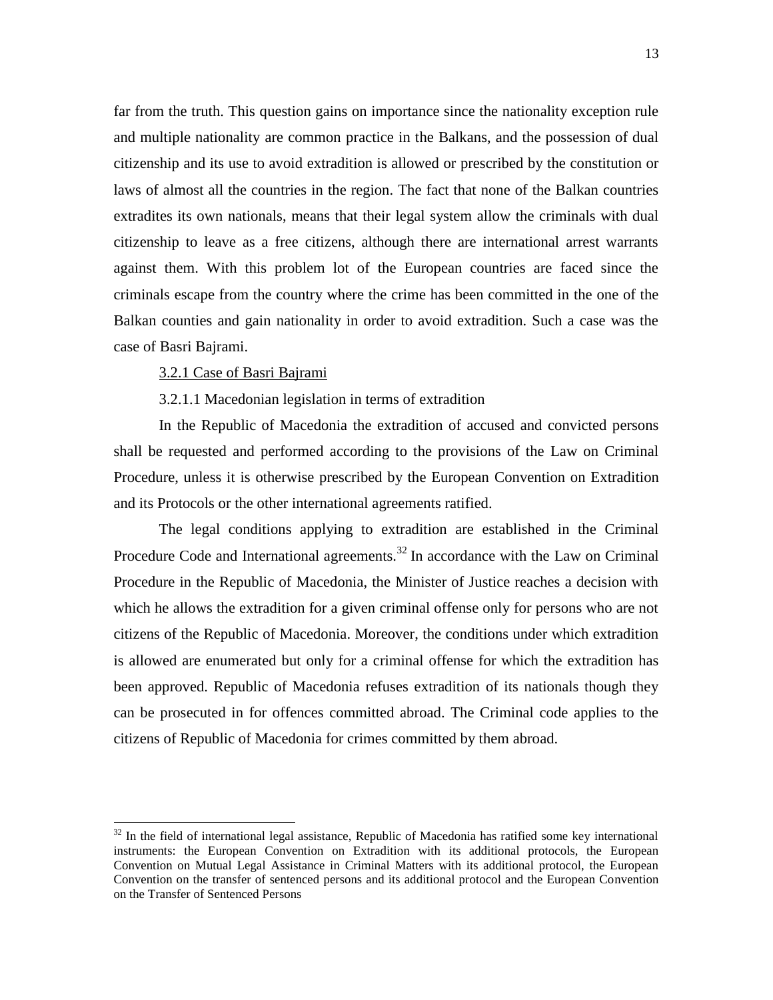far from the truth. This question gains on importance since the nationality exception rule and multiple nationality are common practice in the Balkans, and the possession of dual citizenship and its use to avoid extradition is allowed or prescribed by the constitution or laws of almost all the countries in the region. The fact that none of the Balkan countries extradites its own nationals, means that their legal system allow the criminals with dual citizenship to leave as a free citizens, although there are international arrest warrants against them. With this problem lot of the European countries are faced since the criminals escape from the country where the crime has been committed in the one of the Balkan counties and gain nationality in order to avoid extradition. Such a case was the case of Basri Bajrami.

#### 3.2.1 Case of Basri Bajrami

 $\overline{a}$ 

#### 3.2.1.1 Macedonian legislation in terms of extradition

In the Republic of Macedonia the extradition of accused and convicted persons shall be requested and performed according to the provisions of the Law on Criminal Procedure, unless it is otherwise prescribed by the European Convention on Extradition and its Protocols or the other international agreements ratified.

The legal conditions applying to extradition are established in the Criminal Procedure Code and International agreements.<sup>32</sup> In accordance with the Law on Criminal Procedure in the Republic of Macedonia, the Minister of Justice reaches a decision with which he allows the extradition for a given criminal offense only for persons who are not citizens of the Republic of Macedonia. Moreover, the conditions under which extradition is allowed are enumerated but only for a criminal offense for which the extradition has been approved. Republic of Macedonia refuses extradition of its nationals though they can be prosecuted in for offences committed abroad. The Criminal code applies to the citizens of Republic of Macedonia for crimes committed by them abroad.

 $32$  In the field of international legal assistance, Republic of Macedonia has ratified some key international instruments: the European Convention on Extradition with its additional protocols, the European Convention on Mutual Legal Assistance in Criminal Matters with its additional protocol, the European Convention on the transfer of sentenced persons and its additional protocol and the European Convention on the Transfer of Sentenced Persons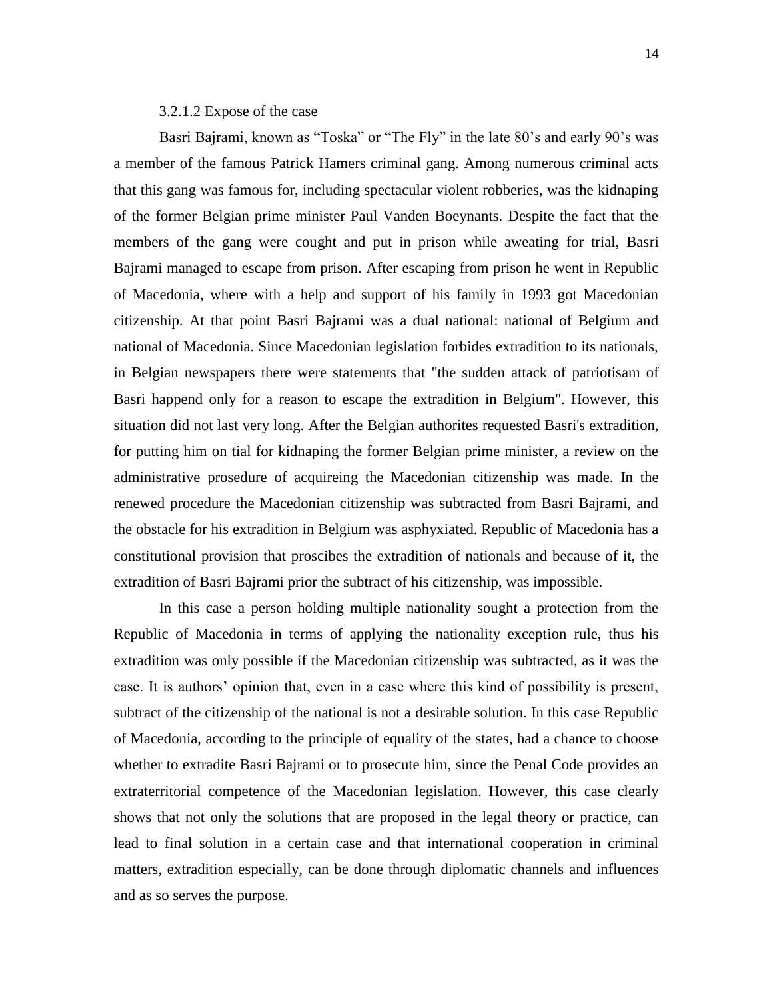3.2.1.2 Expose of the case

Basri Bajrami, known as "Toska" or "The Fly" in the late 80's and early 90's was a member of the famous Patrick Hamers criminal gang. Among numerous criminal acts that this gang was famous for, including spectacular violent robberies, was the kidnaping of the former Belgian prime minister Paul Vanden Boeynants. Despite the fact that the members of the gang were cought and put in prison while aweating for trial, Basri Bajrami managed to escape from prison. After escaping from prison he went in Republic of Macedonia, where with a help and support of his family in 1993 got Macedonian citizenship. At that point Basri Bajrami was a dual national: national of Belgium and national of Macedonia. Since Macedonian legislation forbides extradition to its nationals, in Belgian newspapers there were statements that "the sudden attack of patriotisam of Basri happend only for a reason to escape the extradition in Belgium". However, this situation did not last very long. After the Belgian authorites requested Basri's extradition, for putting him on tial for kidnaping the former Belgian prime minister, a review on the administrative prosedure of acquireing the Macedonian citizenship was made. In the renewed procedure the Macedonian citizenship was subtracted from Basri Bajrami, and the obstacle for his extradition in Belgium was asphyxiated. Republic of Macedonia has a constitutional provision that proscibes the extradition of nationals and because of it, the extradition of Basri Bajrami prior the subtract of his citizenship, was impossible.

In this case a person holding multiple nationality sought a protection from the Republic of Macedonia in terms of applying the nationality exception rule, thus his extradition was only possible if the Macedonian citizenship was subtracted, as it was the case. It is authors" opinion that, even in a case where this kind of possibility is present, subtract of the citizenship of the national is not a desirable solution. In this case Republic of Macedonia, according to the principle of equality of the states, had a chance to choose whether to extradite Basri Bajrami or to prosecute him, since the Penal Code provides an extraterritorial competence of the Macedonian legislation. However, this case clearly shows that not only the solutions that are proposed in the legal theory or practice, can lead to final solution in a certain case and that international cooperation in criminal matters, extradition especially, can be done through diplomatic channels and influences and as so serves the purpose.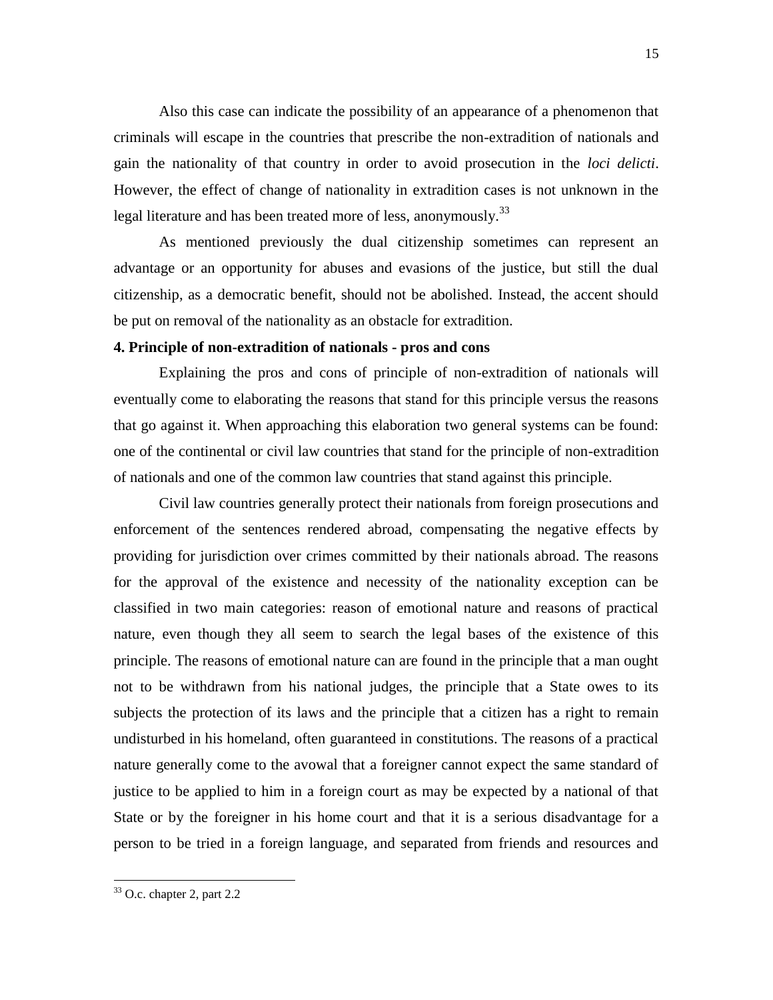Also this case can indicate the possibility of an appearance of a phenomenon that criminals will escape in the countries that prescribe the non-extradition of nationals and gain the nationality of that country in order to avoid prosecution in the *loci delicti*. However, the effect of change of nationality in extradition cases is not unknown in the legal literature and has been treated more of less, anonymously.<sup>33</sup>

As mentioned previously the dual citizenship sometimes can represent an advantage or an opportunity for abuses and evasions of the justice, but still the dual citizenship, as a democratic benefit, should not be abolished. Instead, the accent should be put on removal of the nationality as an obstacle for extradition.

#### **4. Principle of non-extradition of nationals - pros and cons**

Explaining the pros and cons of principle of non-extradition of nationals will eventually come to elaborating the reasons that stand for this principle versus the reasons that go against it. When approaching this elaboration two general systems can be found: one of the continental or civil law countries that stand for the principle of non-extradition of nationals and one of the common law countries that stand against this principle.

Civil law countries generally protect their nationals from foreign prosecutions and enforcement of the sentences rendered abroad, compensating the negative effects by providing for jurisdiction over crimes committed by their nationals abroad. The reasons for the approval of the existence and necessity of the nationality exception can be classified in two main categories: reason of emotional nature and reasons of practical nature, even though they all seem to search the legal bases of the existence of this principle. The reasons of emotional nature can are found in the principle that a man ought not to be withdrawn from his national judges, the principle that a State owes to its subjects the protection of its laws and the principle that a citizen has a right to remain undisturbed in his homeland, often guaranteed in constitutions. The reasons of a practical nature generally come to the avowal that a foreigner cannot expect the same standard of justice to be applied to him in a foreign court as may be expected by a national of that State or by the foreigner in his home court and that it is a serious disadvantage for a person to be tried in a foreign language, and separated from friends and resources and

 $33$  O.c. chapter 2, part 2.2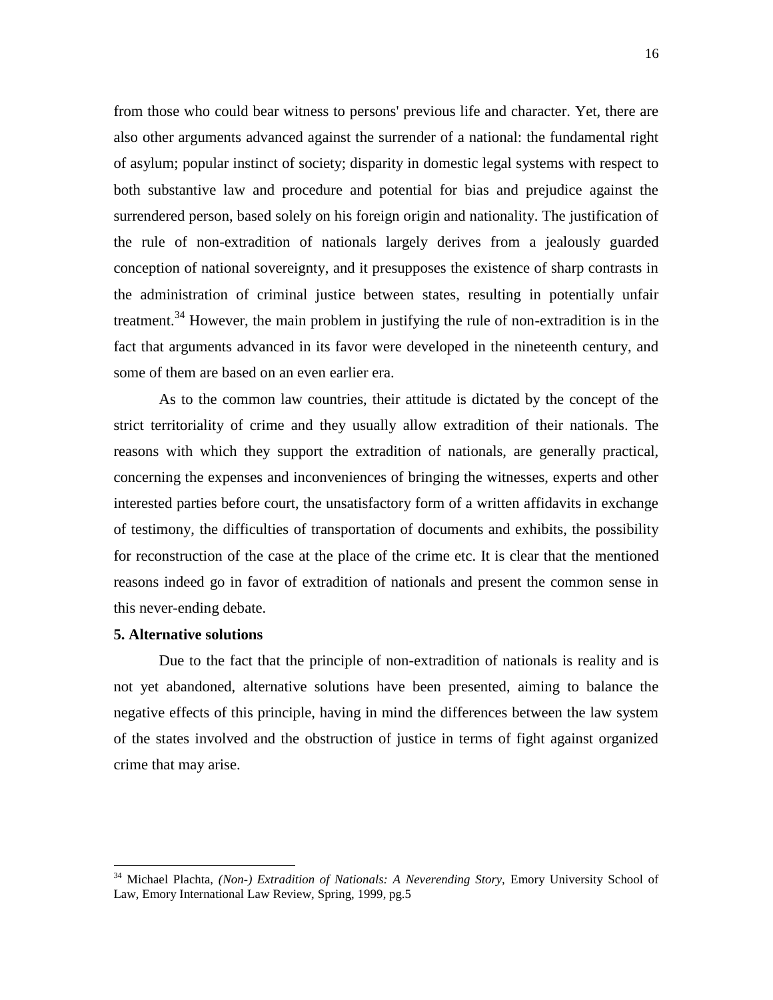from those who could bear witness to persons' previous life and character. Yet, there are also other arguments advanced against the surrender of a national: the fundamental right of asylum; popular instinct of society; disparity in domestic legal systems with respect to both substantive law and procedure and potential for bias and prejudice against the surrendered person, based solely on his foreign origin and nationality. The justification of the rule of non-extradition of nationals largely derives from a jealously guarded conception of national sovereignty, and it presupposes the existence of sharp contrasts in the administration of criminal justice between states, resulting in potentially unfair treatment.<sup>34</sup> However, the main problem in justifying the rule of non-extradition is in the fact that arguments advanced in its favor were developed in the nineteenth century, and some of them are based on an even earlier era.

As to the common law countries, their attitude is dictated by the concept of the strict territoriality of crime and they usually allow extradition of their nationals. The reasons with which they support the extradition of nationals, are generally practical, concerning the expenses and inconveniences of bringing the witnesses, experts and other interested parties before court, the unsatisfactory form of a written affidavits in exchange of testimony, the difficulties of transportation of documents and exhibits, the possibility for reconstruction of the case at the place of the crime etc. It is clear that the mentioned reasons indeed go in favor of extradition of nationals and present the common sense in this never-ending debate.

#### **5. Alternative solutions**

l

Due to the fact that the principle of non-extradition of nationals is reality and is not yet abandoned, alternative solutions have been presented, aiming to balance the negative effects of this principle, having in mind the differences between the law system of the states involved and the obstruction of justice in terms of fight against organized crime that may arise.

<sup>34</sup> Michael Plachta, *(Non-) Extradition of Nationals: A Neverending Story,* Emory University School of Law, Emory International Law Review, Spring, 1999, pg.5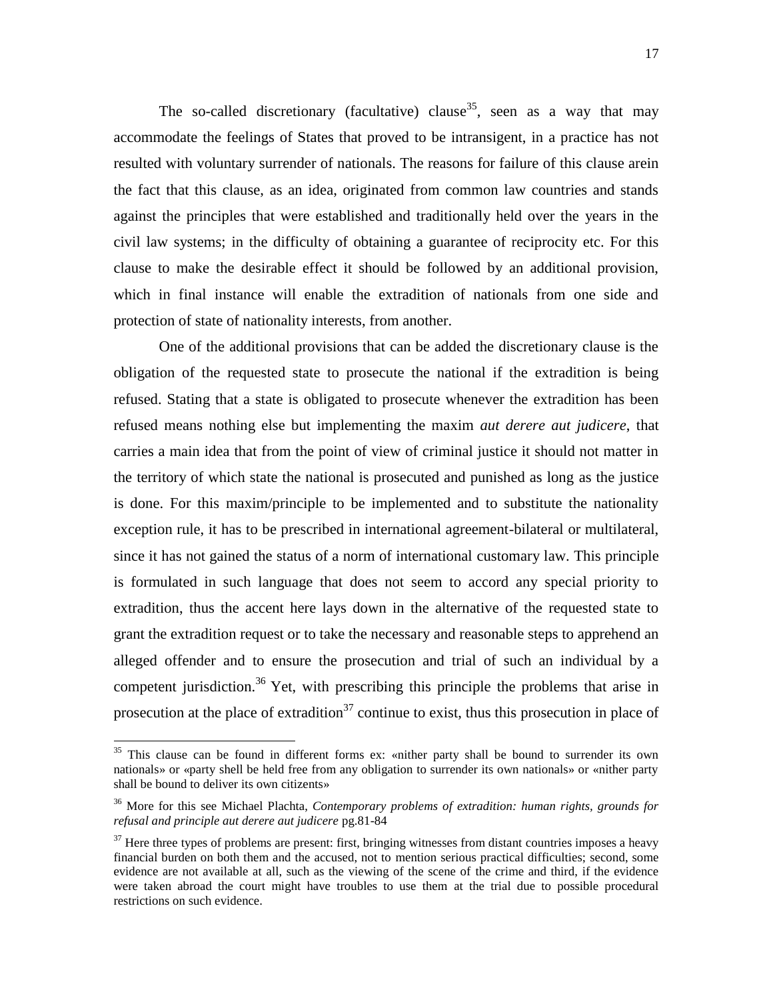The so-called discretionary (facultative) clause<sup>35</sup>, seen as a way that may accommodate the feelings of States that proved to be intransigent, in a practice has not resulted with voluntary surrender of nationals. The reasons for failure of this clause arein the fact that this clause, as an idea, originated from common law countries and stands against the principles that were established and traditionally held over the years in the civil law systems; in the difficulty of obtaining a guarantee of reciprocity etc. For this clause to make the desirable effect it should be followed by an additional provision, which in final instance will enable the extradition of nationals from one side and protection of state of nationality interests, from another.

One of the additional provisions that can be added the discretionary clause is the obligation of the requested state to prosecute the national if the extradition is being refused. Stating that a state is obligated to prosecute whenever the extradition has been refused means nothing else but implementing the maxim *aut derere aut judicere*, that carries a main idea that from the point of view of criminal justice it should not matter in the territory of which state the national is prosecuted and punished as long as the justice is done. For this maxim/principle to be implemented and to substitute the nationality exception rule, it has to be prescribed in international agreement-bilateral or multilateral, since it has not gained the status of a norm of international customary law. This principle is formulated in such language that does not seem to accord any special priority to extradition, thus the accent here lays down in the alternative of the requested state to grant the extradition request or to take the necessary and reasonable steps to apprehend an alleged offender and to ensure the prosecution and trial of such an individual by a competent jurisdiction.<sup>36</sup> Yet, with prescribing this principle the problems that arise in prosecution at the place of extradition<sup>37</sup> continue to exist, thus this prosecution in place of

<sup>&</sup>lt;sup>35</sup> This clause can be found in different forms ex: «nither party shall be bound to surrender its own nationals» or «party shell be held free from any obligation to surrender its own nationals» or «nither party shall be bound to deliver its own citizents»

<sup>36</sup> More for this see Michael Plachta, *Contemporary problems of extradition: human rights, grounds for refusal and principle aut derere aut judicere* pg.81-84

 $37$  Here three types of problems are present: first, bringing witnesses from distant countries imposes a heavy financial burden on both them and the accused, not to mention serious practical difficulties; second, some evidence are not available at all, such as the viewing of the scene of the crime and third, if the evidence were taken abroad the court might have troubles to use them at the trial due to possible procedural restrictions on such evidence.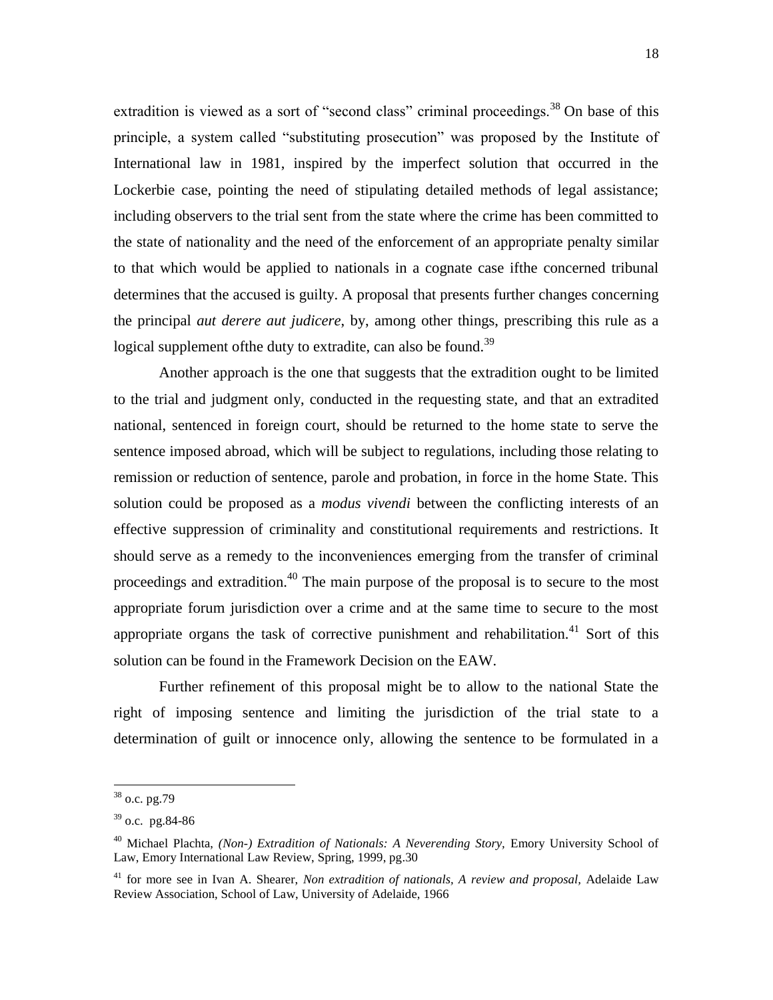extradition is viewed as a sort of "second class" criminal proceedings.<sup>38</sup> On base of this principle, a system called "substituting prosecution" was proposed by the Institute of International law in 1981, inspired by the imperfect solution that occurred in the Lockerbie case, pointing the need of stipulating detailed methods of legal assistance; including observers to the trial sent from the state where the crime has been committed to the state of nationality and the need of the enforcement of an appropriate penalty similar to that which would be applied to nationals in a cognate case ifthe concerned tribunal determines that the accused is guilty. A proposal that presents further changes concerning the principal *aut derere aut judicere*, by, among other things, prescribing this rule as a logical supplement of the duty to extradite, can also be found.<sup>39</sup>

Another approach is the one that suggests that the extradition ought to be limited to the trial and judgment only, conducted in the requesting state, and that an extradited national, sentenced in foreign court, should be returned to the home state to serve the sentence imposed abroad, which will be subject to regulations, including those relating to remission or reduction of sentence, parole and probation, in force in the home State. This solution could be proposed as a *modus vivendi* between the conflicting interests of an effective suppression of criminality and constitutional requirements and restrictions. It should serve as a remedy to the inconveniences emerging from the transfer of criminal proceedings and extradition.<sup>40</sup> The main purpose of the proposal is to secure to the most appropriate forum jurisdiction over a crime and at the same time to secure to the most appropriate organs the task of corrective punishment and rehabilitation.<sup>41</sup> Sort of this solution can be found in the Framework Decision on the EAW.

Further refinement of this proposal might be to allow to the national State the right of imposing sentence and limiting the jurisdiction of the trial state to a determination of guilt or innocence only, allowing the sentence to be formulated in a

 $38$  o.c. pg.79

 $39$  o.c. pg.84-86

<sup>40</sup> Michael Plachta, *(Non-) Extradition of Nationals: A Neverending Story,* Emory University School of Law, Emory International Law Review, Spring, 1999, pg.30

<sup>41</sup> for more see in Ivan A. Shearer, *Non extradition of nationals, A review and proposal,* Adelaide Law Review Association, School of Law, University of Adelaide, 1966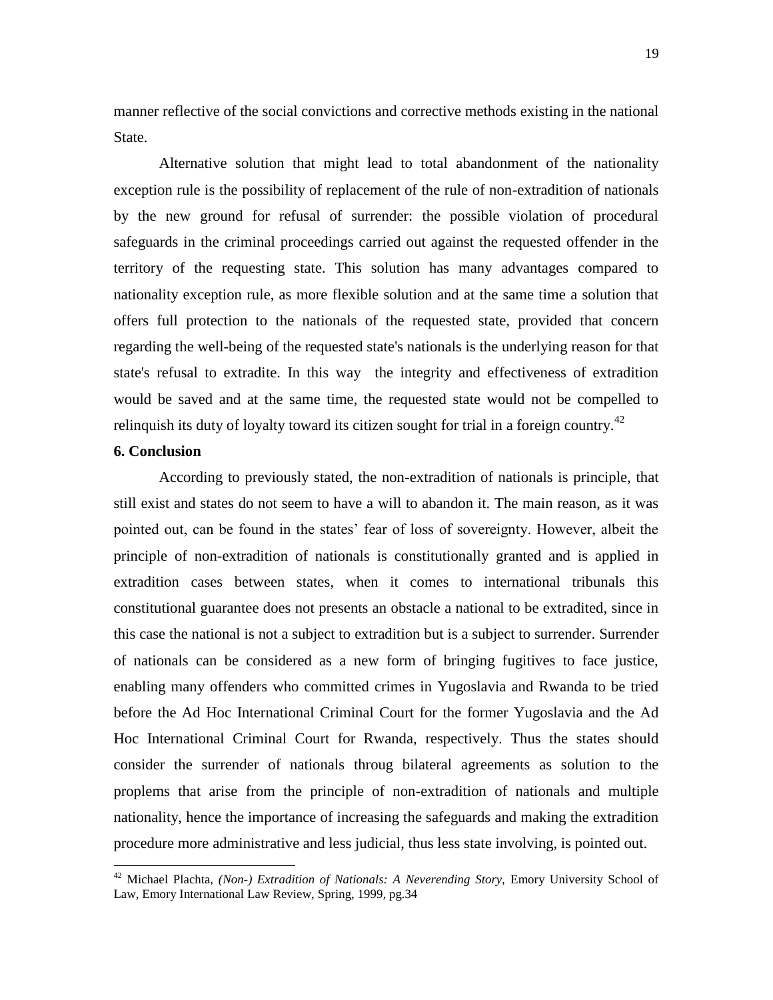manner reflective of the social convictions and corrective methods existing in the national State.

Alternative solution that might lead to total abandonment of the nationality exception rule is the possibility of replacement of the rule of non-extradition of nationals by the new ground for refusal of surrender: the possible violation of procedural safeguards in the criminal proceedings carried out against the requested offender in the territory of the requesting state. This solution has many advantages compared to nationality exception rule, as more flexible solution and at the same time a solution that offers full protection to the nationals of the requested state, provided that concern regarding the well-being of the requested state's nationals is the underlying reason for that state's refusal to extradite. In this way the integrity and effectiveness of extradition would be saved and at the same time, the requested state would not be compelled to relinquish its duty of loyalty toward its citizen sought for trial in a foreign country.<sup>42</sup>

#### **6. Conclusion**

l

According to previously stated, the non-extradition of nationals is principle, that still exist and states do not seem to have a will to abandon it. The main reason, as it was pointed out, can be found in the states" fear of loss of sovereignty. However, albeit the principle of non-extradition of nationals is constitutionally granted and is applied in extradition cases between states, when it comes to international tribunals this constitutional guarantee does not presents an obstacle a national to be extradited, since in this case the national is not a subject to extradition but is a subject to surrender. Surrender of nationals can be considered as a new form of bringing fugitives to face justice, enabling many offenders who committed crimes in Yugoslavia and Rwanda to be tried before the Ad Hoc International Criminal Court for the former Yugoslavia and the Ad Hoc International Criminal Court for Rwanda, respectively. Thus the states should consider the surrender of nationals throug bilateral agreements as solution to the proplems that arise from the principle of non-extradition of nationals and multiple nationality, hence the importance of increasing the safeguards and making the extradition procedure more administrative and less judicial, thus less state involving, is pointed out.

<sup>42</sup> Michael Plachta, *(Non-) Extradition of Nationals: A Neverending Story,* Emory University School of Law, Emory International Law Review, Spring, 1999, pg.34